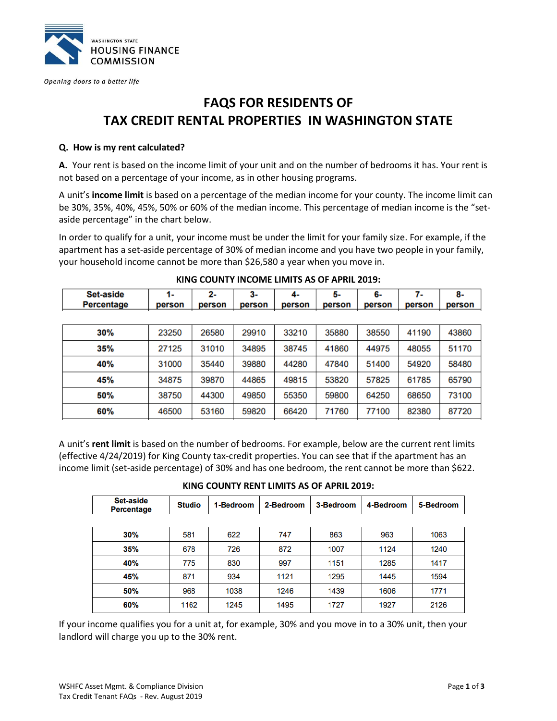

Opening doors to a better life

# **FAQS FOR RESIDENTS OF TAX CREDIT RENTAL PROPERTIES IN WASHINGTON STATE**

#### **Q. How is my rent calculated?**

**A.** Your rent is based on the income limit of your unit and on the number of bedrooms it has. Your rent is not based on a percentage of your income, as in other housing programs.

A unit's **income limit** is based on a percentage of the median income for your county. The income limit can be 30%, 35%, 40%, 45%, 50% or 60% of the median income. This percentage of median income is the "setaside percentage" in the chart below.

In order to qualify for a unit, your income must be under the limit for your family size. For example, if the apartment has a set-aside percentage of 30% of median income and you have two people in your family, your household income cannot be more than \$26,580 a year when you move in.

| Set-aside  | $1 -$  | 2-     | $3-$   | 4-     | 5-     | 6-     | 7-     | 8-     |
|------------|--------|--------|--------|--------|--------|--------|--------|--------|
| Percentage | person | person | person | person | person | person | person | person |
|            |        |        |        |        |        |        |        |        |
| 30%        | 23250  | 26580  | 29910  | 33210  | 35880  | 38550  | 41190  | 43860  |
| 35%        | 27125  | 31010  | 34895  | 38745  | 41860  | 44975  | 48055  | 51170  |
| 40%        | 31000  | 35440  | 39880  | 44280  | 47840  | 51400  | 54920  | 58480  |
| 45%        | 34875  | 39870  | 44865  | 49815  | 53820  | 57825  | 61785  | 65790  |
| 50%        | 38750  | 44300  | 49850  | 55350  | 59800  | 64250  | 68650  | 73100  |
| 60%        | 46500  | 53160  | 59820  | 66420  | 71760  | 77100  | 82380  | 87720  |

#### **KING COUNTY INCOME LIMITS AS OF APRIL 2019:**

A unit's **rent limit** is based on the number of bedrooms. For example, below are the current rent limits (effective 4/24/2019) for King County tax-credit properties. You can see that if the apartment has an income limit (set-aside percentage) of 30% and has one bedroom, the rent cannot be more than \$622.

**KING COUNTY RENT LIMITS AS OF APRIL 2019:**

| Set-aside<br><b>Percentage</b> | <b>Studio</b> | 1-Bedroom | 2-Bedroom | 3-Bedroom | 4-Bedroom | 5-Bedroom |
|--------------------------------|---------------|-----------|-----------|-----------|-----------|-----------|
|                                |               |           |           |           |           |           |
| 30%                            | 581           | 622       | 747       | 863       | 963       | 1063      |
| 35%                            | 678           | 726       | 872       | 1007      | 1124      | 1240      |
| 40%                            | 775           | 830       | 997       | 1151      | 1285      | 1417      |
| 45%                            | 871           | 934       | 1121      | 1295      | 1445      | 1594      |
| 50%                            | 968           | 1038      | 1246      | 1439      | 1606      | 1771      |
| 60%                            | 1162          | 1245      | 1495      | 1727      | 1927      | 2126      |

If your income qualifies you for a unit at, for example, 30% and you move in to a 30% unit, then your landlord will charge you up to the 30% rent.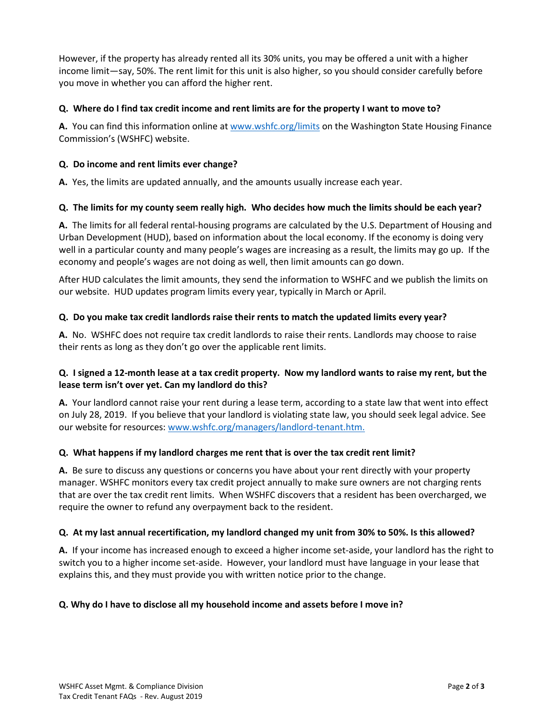However, if the property has already rented all its 30% units, you may be offered a unit with a higher income limit—say, 50%. The rent limit for this unit is also higher, so you should consider carefully before you move in whether you can afford the higher rent.

### **Q. Where do I find tax credit income and rent limits are for the property I want to move to?**

**A.** You can find this information online at [www.wshfc.org/limits](http://www.wshfc.org/limits) on the Washington State Housing Finance Commission's (WSHFC) website.

## **Q. Do income and rent limits ever change?**

**A.** Yes, the limits are updated annually, and the amounts usually increase each year.

## **Q. The limits for my county seem really high. Who decides how much the limits should be each year?**

**A.** The limits for all federal rental-housing programs are calculated by the U.S. Department of Housing and Urban Development (HUD), based on information about the local economy. If the economy is doing very well in a particular county and many people's wages are increasing as a result, the limits may go up. If the economy and people's wages are not doing as well, then limit amounts can go down.

After HUD calculates the limit amounts, they send the information to WSHFC and we publish the limits on our website. HUD updates program limits every year, typically in March or April.

## **Q. Do you make tax credit landlords raise their rents to match the updated limits every year?**

**A.** No. WSHFC does not require tax credit landlords to raise their rents. Landlords may choose to raise their rents as long as they don't go over the applicable rent limits.

## **Q. I signed a 12-month lease at a tax credit property. Now my landlord wants to raise my rent, but the lease term isn't over yet. Can my landlord do this?**

**A.** Your landlord cannot raise your rent during a lease term, according to a state law that went into effect on July 28, 2019. If you believe that your landlord is violating state law, you should seek legal advice. See our website for resources[: www.wshfc.org/managers/landlord-tenant.htm.](http://www.wshfc.org/managers/landlord-tenant.htm)

## **Q. What happens if my landlord charges me rent that is over the tax credit rent limit?**

**A.** Be sure to discuss any questions or concerns you have about your rent directly with your property manager. WSHFC monitors every tax credit project annually to make sure owners are not charging rents that are over the tax credit rent limits. When WSHFC discovers that a resident has been overcharged, we require the owner to refund any overpayment back to the resident.

#### **Q. At my last annual recertification, my landlord changed my unit from 30% to 50%. Is this allowed?**

**A.** If your income has increased enough to exceed a higher income set-aside, your landlord has the right to switch you to a higher income set-aside. However, your landlord must have language in your lease that explains this, and they must provide you with written notice prior to the change.

#### **Q. Why do I have to disclose all my household income and assets before I move in?**